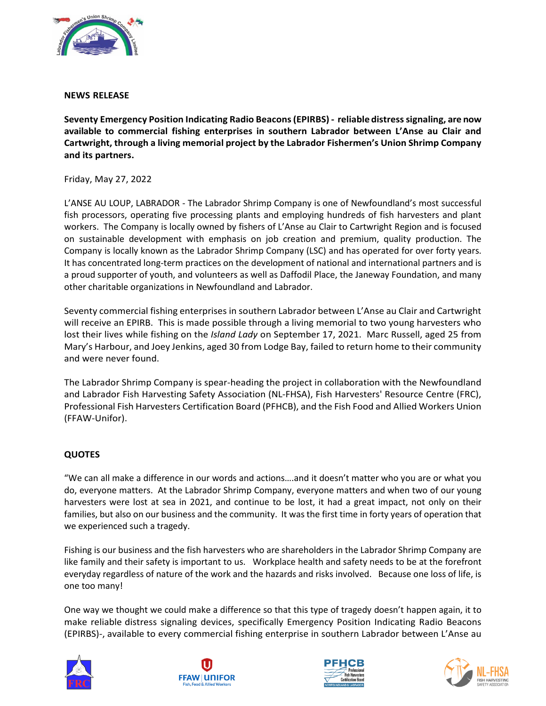

## **NEWS RELEASE**

**Seventy Emergency Position Indicating Radio Beacons (EPIRBS) - reliable distress signaling, are now available to commercial fishing enterprises in southern Labrador between L'Anse au Clair and Cartwright, through a living memorial project by the Labrador Fishermen's Union Shrimp Company and its partners.** 

## Friday, May 27, 2022

L'ANSE AU LOUP, LABRADOR - The Labrador Shrimp Company is one of Newfoundland's most successful fish processors, operating five processing plants and employing hundreds of fish harvesters and plant workers. The Company is locally owned by fishers of L'Anse au Clair to Cartwright Region and is focused on sustainable development with emphasis on job creation and premium, quality production. The Company is locally known as the Labrador Shrimp Company (LSC) and has operated for over forty years. It has concentrated long-term practices on the development of national and international partners and is a proud supporter of youth, and volunteers as well as Daffodil Place, the Janeway Foundation, and many other charitable organizations in Newfoundland and Labrador.

Seventy commercial fishing enterprises in southern Labrador between L'Anse au Clair and Cartwright will receive an EPIRB. This is made possible through a living memorial to two young harvesters who lost their lives while fishing on the *Island Lady* on September 17, 2021. Marc Russell, aged 25 from Mary's Harbour, and Joey Jenkins, aged 30 from Lodge Bay, failed to return home to their community and were never found.

The Labrador Shrimp Company is spear-heading the project in collaboration with the Newfoundland and Labrador Fish Harvesting Safety Association (NL-FHSA), Fish Harvesters' Resource Centre (FRC), Professional Fish Harvesters Certification Board (PFHCB), and the Fish Food and Allied Workers Union (FFAW-Unifor).

## **QUOTES**

"We can all make a difference in our words and actions….and it doesn't matter who you are or what you do, everyone matters. At the Labrador Shrimp Company, everyone matters and when two of our young harvesters were lost at sea in 2021, and continue to be lost, it had a great impact, not only on their families, but also on our business and the community. It was the first time in forty years of operation that we experienced such a tragedy.

Fishing is our business and the fish harvesters who are shareholders in the Labrador Shrimp Company are like family and their safety is important to us. Workplace health and safety needs to be at the forefront everyday regardless of nature of the work and the hazards and risks involved. Because one loss of life, is one too many!

One way we thought we could make a difference so that this type of tragedy doesn't happen again, it to make reliable distress signaling devices, specifically Emergency Position Indicating Radio Beacons (EPIRBS)-, available to every commercial fishing enterprise in southern Labrador between L'Anse au







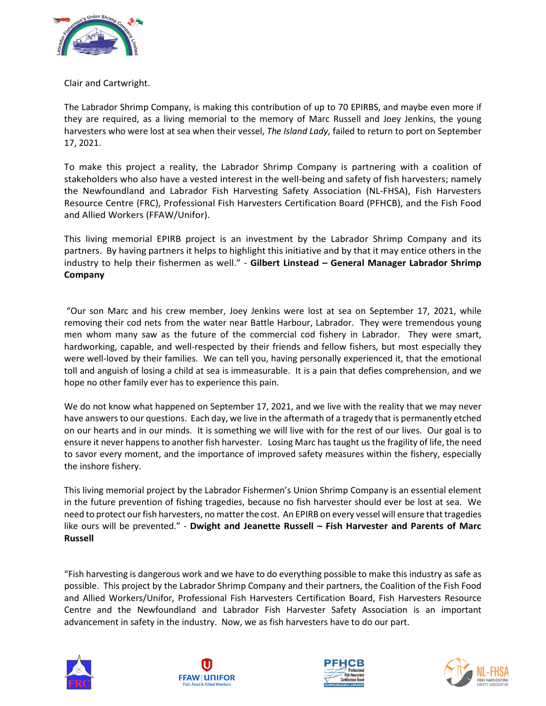

## Clair and Cartwright.

The Labrador Shrimp Company, is making this contribution of up to 70 EPIRBS, and maybe even more if they are required, as a living memorial to the memory of Marc Russell and Joey Jenkins, the young harvesters who were lost at sea when their vessel, *The Island Lady*, failed to return to port on September 17, 2021.

To make this project a reality, the Labrador Shrimp Company is partnering with a coalition of stakeholders who also have a vested interest in the well-being and safety of fish harvesters; namely the Newfoundland and Labrador Fish Harvesting Safety Association (NL-FHSA), Fish Harvesters Resource Centre (FRC), Professional Fish Harvesters Certification Board (PFHCB), and the Fish Food and Allied Workers (FFAW/Unifor).

This living memorial EPIRB project is an investment by the Labrador Shrimp Company and its partners. By having partners it helps to highlight this initiative and by that it may entice others in the industry to help their fishermen as well." - **Gilbert Linstead – General Manager Labrador Shrimp Company**

"Our son Marc and his crew member, Joey Jenkins were lost at sea on September 17, 2021, while removing their cod nets from the water near Battle Harbour, Labrador. They were tremendous young men whom many saw as the future of the commercial cod fishery in Labrador. They were smart, hardworking, capable, and well-respected by their friends and fellow fishers, but most especially they were well-loved by their families. We can tell you, having personally experienced it, that the emotional toll and anguish of losing a child at sea is immeasurable. It is a pain that defies comprehension, and we hope no other family ever has to experience this pain.

We do not know what happened on September 17, 2021, and we live with the reality that we may never have answers to our questions. Each day, we live in the aftermath of a tragedy that is permanently etched on our hearts and in our minds. It is something we will live with for the rest of our lives. Our goal is to ensure it never happens to another fish harvester. Losing Marc has taught us the fragility of life, the need to savor every moment, and the importance of improved safety measures within the fishery, especially the inshore fishery.

This living memorial project by the Labrador Fishermen's Union Shrimp Company is an essential element in the future prevention of fishing tragedies, because no fish harvester should ever be lost at sea. We need to protect our fish harvesters, no matter the cost. An EPIRB on every vessel will ensure that tragedies like ours will be prevented." - **Dwight and Jeanette Russell – Fish Harvester and Parents of Marc Russell**

"Fish harvesting is dangerous work and we have to do everything possible to make this industry as safe as possible. This project by the Labrador Shrimp Company and their partners, the Coalition of the Fish Food and Allied Workers/Unifor, Professional Fish Harvesters Certification Board, Fish Harvesters Resource Centre and the Newfoundland and Labrador Fish Harvester Safety Association is an important advancement in safety in the industry. Now, we as fish harvesters have to do our part.







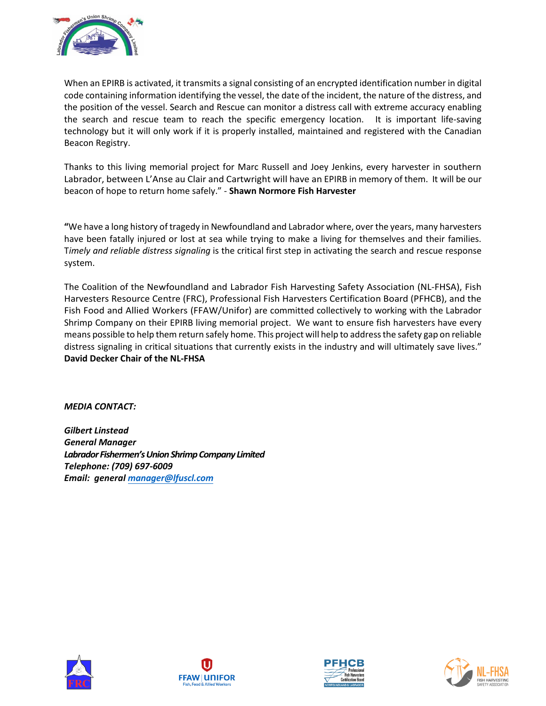

When an EPIRB is activated, it transmits a signal consisting of an encrypted identification number in digital code containing information identifying the vessel, the date of the incident, the nature of the distress, and the position of the vessel. Search and Rescue can monitor a distress call with extreme accuracy enabling the search and rescue team to reach the specific emergency location. It is important life-saving technology but it will only work if it is properly installed, maintained and registered with the Canadian Beacon Registry.

Thanks to this living memorial project for Marc Russell and Joey Jenkins, every harvester in southern Labrador, between L'Anse au Clair and Cartwright will have an EPIRB in memory of them. It will be our beacon of hope to return home safely." - **Shawn Normore Fish Harvester** 

**"**We have a long history of tragedy in Newfoundland and Labrador where, over the years, many harvesters have been fatally injured or lost at sea while trying to make a living for themselves and their families. T*imely and reliable distress signaling* is the critical first step in activating the search and rescue response system.

The Coalition of the Newfoundland and Labrador Fish Harvesting Safety Association (NL-FHSA), Fish Harvesters Resource Centre (FRC), Professional Fish Harvesters Certification Board (PFHCB), and the Fish Food and Allied Workers (FFAW/Unifor) are committed collectively to working with the Labrador Shrimp Company on their EPIRB living memorial project. We want to ensure fish harvesters have every means possible to help them return safely home. This project will help to address the safety gap on reliable distress signaling in critical situations that currently exists in the industry and will ultimately save lives." **David Decker Chair of the NL-FHSA** 

*MEDIA CONTACT:*

*Gilbert Linstead General Manager Labrador Fishermen'sUnionShrimp Company Limited Telephone: (709) 697-6009 Email: general [manager@lfuscl.com](mailto:manager@lfuscl.com)*







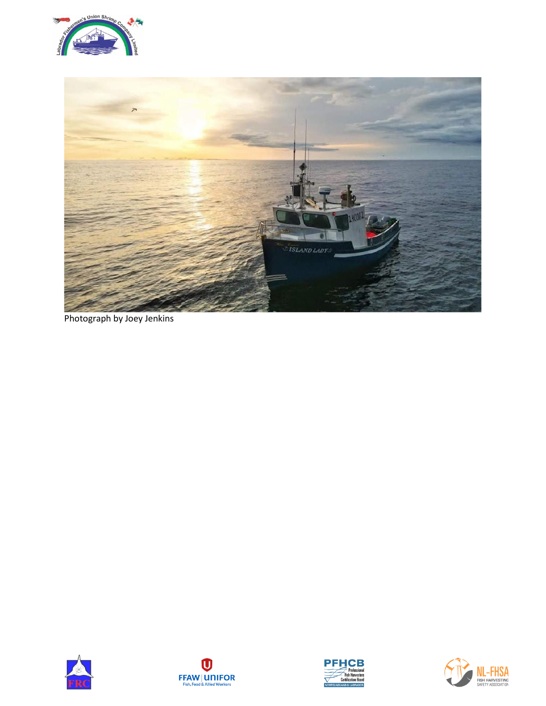



Photograph by Joey Jenkins







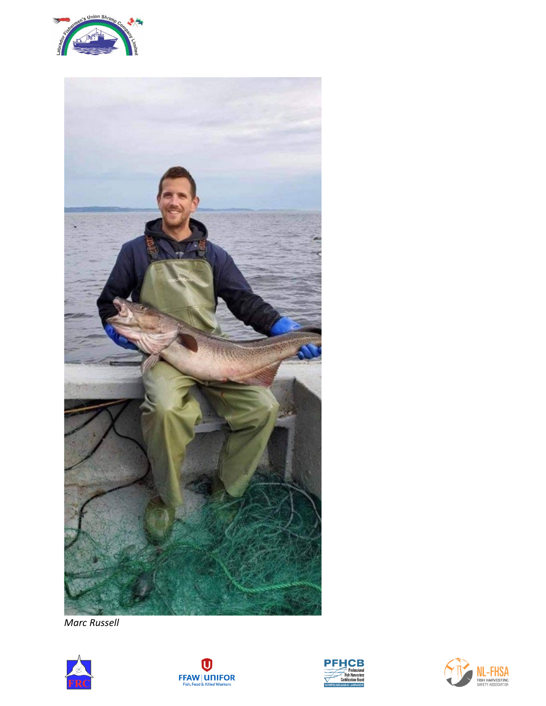



*Marc Russell*